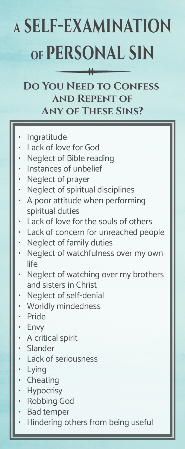## **<sup>A</sup> self-examination of personal sin**

## **Do You Need to Confess and Repent of Any of These Sins?**

- **Ingratitude**
- Lack of love for God
- Neglect of Bible reading
- Instances of unbelief
- Neglect of prayer
- Neglect of spiritual disciplines
- A poor attitude when performing spiritual duties
- Lack of love for the souls of others
- Lack of concern for unreached people
- Neglect of family duties
- Neglect of watchfulness over my own life
- Neglect of watching over my brothers and sisters in Christ
- Neglect of self-denial
- Worldly mindedness
- Pride
- Envy
- A critical spirit
- Slander
- Lack of seriousness
- Lying
- **Cheating**
- **Hypocrisy**
- Robbing God
- Bad temper
- Hindering others from being useful